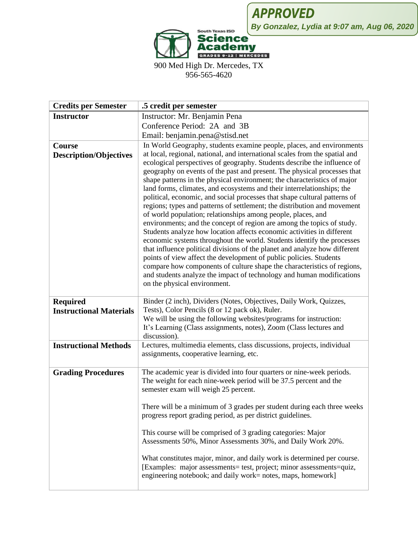

900 Med High Dr. Mercedes, TX 956-565-4620

| <b>Credits per Semester</b>                       | .5 credit per semester                                                                                                                                                                                                                                                                                                                                                                                                                                                                                                                                                                                                                                                                                                                                                                                                                                                                                                                                                                                                                                                                                                                                                                   |
|---------------------------------------------------|------------------------------------------------------------------------------------------------------------------------------------------------------------------------------------------------------------------------------------------------------------------------------------------------------------------------------------------------------------------------------------------------------------------------------------------------------------------------------------------------------------------------------------------------------------------------------------------------------------------------------------------------------------------------------------------------------------------------------------------------------------------------------------------------------------------------------------------------------------------------------------------------------------------------------------------------------------------------------------------------------------------------------------------------------------------------------------------------------------------------------------------------------------------------------------------|
| <b>Instructor</b>                                 | Instructor: Mr. Benjamin Pena                                                                                                                                                                                                                                                                                                                                                                                                                                                                                                                                                                                                                                                                                                                                                                                                                                                                                                                                                                                                                                                                                                                                                            |
|                                                   | Conference Period: 2A and 3B                                                                                                                                                                                                                                                                                                                                                                                                                                                                                                                                                                                                                                                                                                                                                                                                                                                                                                                                                                                                                                                                                                                                                             |
|                                                   | Email: benjamin.pena@stisd.net                                                                                                                                                                                                                                                                                                                                                                                                                                                                                                                                                                                                                                                                                                                                                                                                                                                                                                                                                                                                                                                                                                                                                           |
| Course                                            | In World Geography, students examine people, places, and environments                                                                                                                                                                                                                                                                                                                                                                                                                                                                                                                                                                                                                                                                                                                                                                                                                                                                                                                                                                                                                                                                                                                    |
| <b>Description/Objectives</b>                     | at local, regional, national, and international scales from the spatial and<br>ecological perspectives of geography. Students describe the influence of<br>geography on events of the past and present. The physical processes that<br>shape patterns in the physical environment; the characteristics of major<br>land forms, climates, and ecosystems and their interrelationships; the<br>political, economic, and social processes that shape cultural patterns of<br>regions; types and patterns of settlement; the distribution and movement<br>of world population; relationships among people, places, and<br>environments; and the concept of region are among the topics of study.<br>Students analyze how location affects economic activities in different<br>economic systems throughout the world. Students identify the processes<br>that influence political divisions of the planet and analyze how different<br>points of view affect the development of public policies. Students<br>compare how components of culture shape the characteristics of regions,<br>and students analyze the impact of technology and human modifications<br>on the physical environment. |
| <b>Required</b><br><b>Instructional Materials</b> | Binder (2 inch), Dividers (Notes, Objectives, Daily Work, Quizzes,<br>Tests), Color Pencils (8 or 12 pack ok), Ruler.<br>We will be using the following websites/programs for instruction:<br>It's Learning (Class assignments, notes), Zoom (Class lectures and<br>discussion).                                                                                                                                                                                                                                                                                                                                                                                                                                                                                                                                                                                                                                                                                                                                                                                                                                                                                                         |
| <b>Instructional Methods</b>                      | Lectures, multimedia elements, class discussions, projects, individual<br>assignments, cooperative learning, etc.                                                                                                                                                                                                                                                                                                                                                                                                                                                                                                                                                                                                                                                                                                                                                                                                                                                                                                                                                                                                                                                                        |
| <b>Grading Procedures</b>                         | The academic year is divided into four quarters or nine-week periods.<br>The weight for each nine-week period will be 37.5 percent and the<br>semester exam will weigh 25 percent.<br>There will be a minimum of 3 grades per student during each three weeks<br>progress report grading period, as per district guidelines.<br>This course will be comprised of 3 grading categories: Major<br>Assessments 50%, Minor Assessments 30%, and Daily Work 20%.<br>What constitutes major, minor, and daily work is determined per course.<br>[Examples: major assessments= test, project; minor assessments=quiz,                                                                                                                                                                                                                                                                                                                                                                                                                                                                                                                                                                           |
|                                                   | engineering notebook; and daily work= notes, maps, homework]                                                                                                                                                                                                                                                                                                                                                                                                                                                                                                                                                                                                                                                                                                                                                                                                                                                                                                                                                                                                                                                                                                                             |